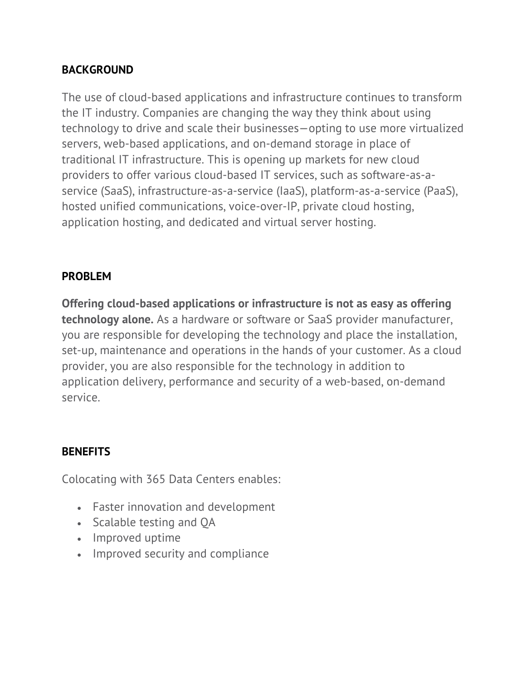# **BACKGROUND**

The use of cloud-based applications and infrastructure continues to transform the IT industry. Companies are changing the way they think about using technology to drive and scale their businesses—opting to use more virtualized servers, web-based applications, and on-demand storage in place of traditional IT infrastructure. This is opening up markets for new cloud providers to offer various cloud-based IT services, such as software-as-aservice (SaaS), infrastructure-as-a-service (IaaS), platform-as-a-service (PaaS), hosted unified communications, voice-over-IP, private cloud hosting, application hosting, and dedicated and virtual server hosting.

## **PROBLEM**

**Offering cloud-based applications or infrastructure is not as easy as offering technology alone.** As a hardware or software or SaaS provider manufacturer, you are responsible for developing the technology and place the installation, set-up, maintenance and operations in the hands of your customer. As a cloud provider, you are also responsible for the technology in addition to application delivery, performance and security of a web-based, on-demand service.

# **BENEFITS**

Colocating with 365 Data Centers enables:

- Faster innovation and development
- Scalable testing and QA
- Improved uptime
- Improved security and compliance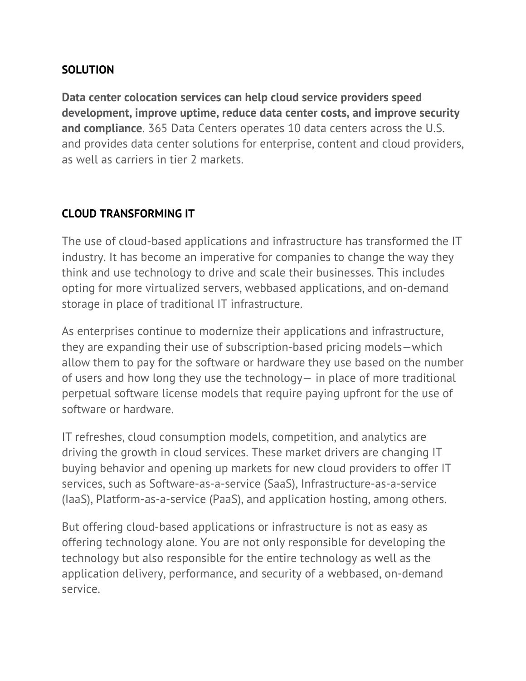## **SOLUTION**

**Data center colocation services can help cloud service providers speed development, improve uptime, reduce data center costs, and improve security and compliance**. 365 Data Centers operates 10 data centers across the U.S. and provides data center solutions for enterprise, content and cloud providers, as well as carriers in tier 2 markets.

# **CLOUD TRANSFORMING IT**

The use of cloud-based applications and infrastructure has transformed the IT industry. It has become an imperative for companies to change the way they think and use technology to drive and scale their businesses. This includes opting for more virtualized servers, webbased applications, and on-demand storage in place of traditional IT infrastructure.

As enterprises continue to modernize their applications and infrastructure, they are expanding their use of subscription-based pricing models—which allow them to pay for the software or hardware they use based on the number of users and how long they use the technology— in place of more traditional perpetual software license models that require paying upfront for the use of software or hardware.

IT refreshes, cloud consumption models, competition, and analytics are driving the growth in cloud services. These market drivers are changing IT buying behavior and opening up markets for new cloud providers to offer IT services, such as Software-as-a-service (SaaS), Infrastructure-as-a-service (IaaS), Platform-as-a-service (PaaS), and application hosting, among others.

But offering cloud-based applications or infrastructure is not as easy as offering technology alone. You are not only responsible for developing the technology but also responsible for the entire technology as well as the application delivery, performance, and security of a webbased, on-demand service.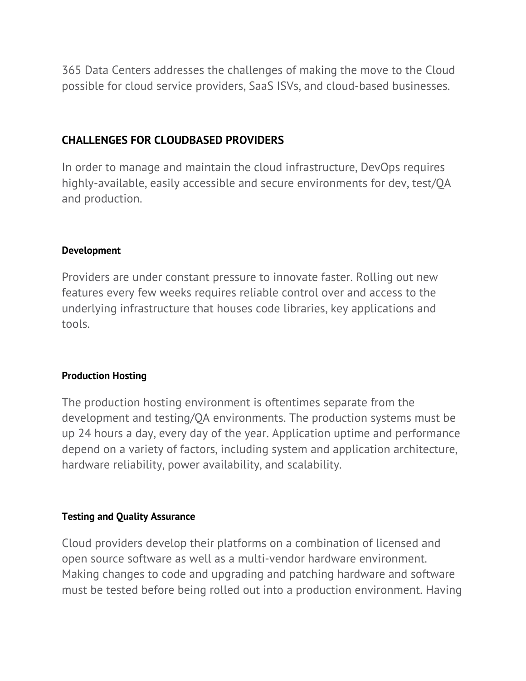365 Data Centers addresses the challenges of making the move to the Cloud possible for cloud service providers, SaaS ISVs, and cloud-based businesses.

## **CHALLENGES FOR CLOUDBASED PROVIDERS**

In order to manage and maintain the cloud infrastructure, DevOps requires highly-available, easily accessible and secure environments for dev, test/QA and production.

## **Development**

Providers are under constant pressure to innovate faster. Rolling out new features every few weeks requires reliable control over and access to the underlying infrastructure that houses code libraries, key applications and tools.

## **Production Hosting**

The production hosting environment is oftentimes separate from the development and testing/QA environments. The production systems must be up 24 hours a day, every day of the year. Application uptime and performance depend on a variety of factors, including system and application architecture, hardware reliability, power availability, and scalability.

## **Testing and Quality Assurance**

Cloud providers develop their platforms on a combination of licensed and open source software as well as a multi-vendor hardware environment. Making changes to code and upgrading and patching hardware and software must be tested before being rolled out into a production environment. Having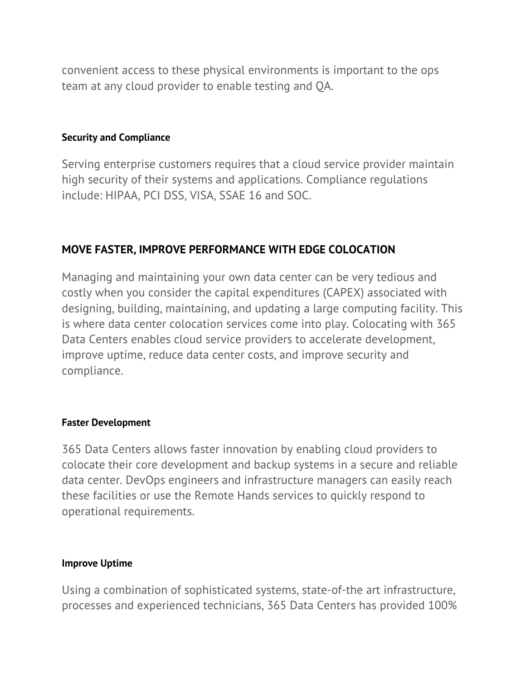convenient access to these physical environments is important to the ops team at any cloud provider to enable testing and QA.

#### **Security and Compliance**

Serving enterprise customers requires that a cloud service provider maintain high security of their systems and applications. Compliance regulations include: HIPAA, PCI DSS, VISA, SSAE 16 and SOC.

## **MOVE FASTER, IMPROVE PERFORMANCE WITH EDGE COLOCATION**

Managing and maintaining your own data center can be very tedious and costly when you consider the capital expenditures (CAPEX) associated with designing, building, maintaining, and updating a large computing facility. This is where data center colocation services come into play. Colocating with 365 Data Centers enables cloud service providers to accelerate development, improve uptime, reduce data center costs, and improve security and compliance.

#### **Faster Development**

365 Data Centers allows faster innovation by enabling cloud providers to colocate their core development and backup systems in a secure and reliable data center. DevOps engineers and infrastructure managers can easily reach these facilities or use the Remote Hands services to quickly respond to operational requirements.

#### **Improve Uptime**

Using a combination of sophisticated systems, state-of-the art infrastructure, processes and experienced technicians, 365 Data Centers has provided 100%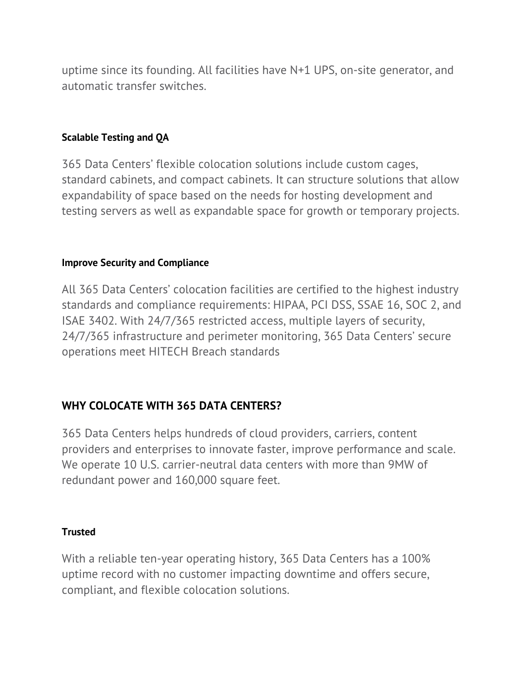uptime since its founding. All facilities have N+1 UPS, on-site generator, and automatic transfer switches.

## **Scalable Testing and QA**

365 Data Centers' flexible colocation solutions include custom cages, standard cabinets, and compact cabinets. It can structure solutions that allow expandability of space based on the needs for hosting development and testing servers as well as expandable space for growth or temporary projects.

#### **Improve Security and Compliance**

All 365 Data Centers' colocation facilities are certified to the highest industry standards and compliance requirements: HIPAA, PCI DSS, SSAE 16, SOC 2, and ISAE 3402. With 24/7/365 restricted access, multiple layers of security, 24/7/365 infrastructure and perimeter monitoring, 365 Data Centers' secure operations meet HITECH Breach standards

# **WHY COLOCATE WITH 365 DATA CENTERS?**

365 Data Centers helps hundreds of cloud providers, carriers, content providers and enterprises to innovate faster, improve performance and scale. We operate 10 U.S. carrier-neutral data centers with more than 9MW of redundant power and 160,000 square feet.

## **Trusted**

With a reliable ten-year operating history, 365 Data Centers has a 100% uptime record with no customer impacting downtime and offers secure, compliant, and flexible colocation solutions.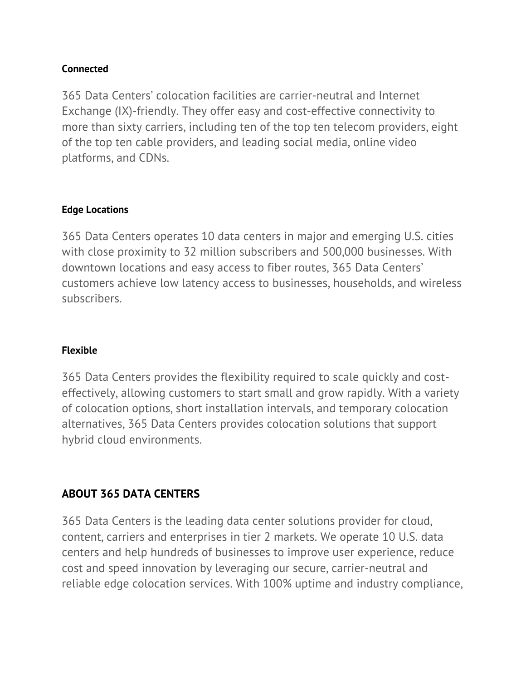## **Connected**

365 Data Centers' colocation facilities are carrier-neutral and Internet Exchange (IX)-friendly. They offer easy and cost-effective connectivity to more than sixty carriers, including ten of the top ten telecom providers, eight of the top ten cable providers, and leading social media, online video platforms, and CDNs.

## **Edge Locations**

365 Data Centers operates 10 data centers in major and emerging U.S. cities with close proximity to 32 million subscribers and 500,000 businesses. With downtown locations and easy access to fiber routes, 365 Data Centers' customers achieve low latency access to businesses, households, and wireless subscribers.

## **Flexible**

365 Data Centers provides the flexibility required to scale quickly and costeffectively, allowing customers to start small and grow rapidly. With a variety of colocation options, short installation intervals, and temporary colocation alternatives, 365 Data Centers provides colocation solutions that support hybrid cloud environments.

# **ABOUT 365 DATA CENTERS**

365 Data Centers is the leading data center solutions provider for cloud, content, carriers and enterprises in tier 2 markets. We operate 10 U.S. data centers and help hundreds of businesses to improve user experience, reduce cost and speed innovation by leveraging our secure, carrier-neutral and reliable edge colocation services. With 100% uptime and industry compliance,